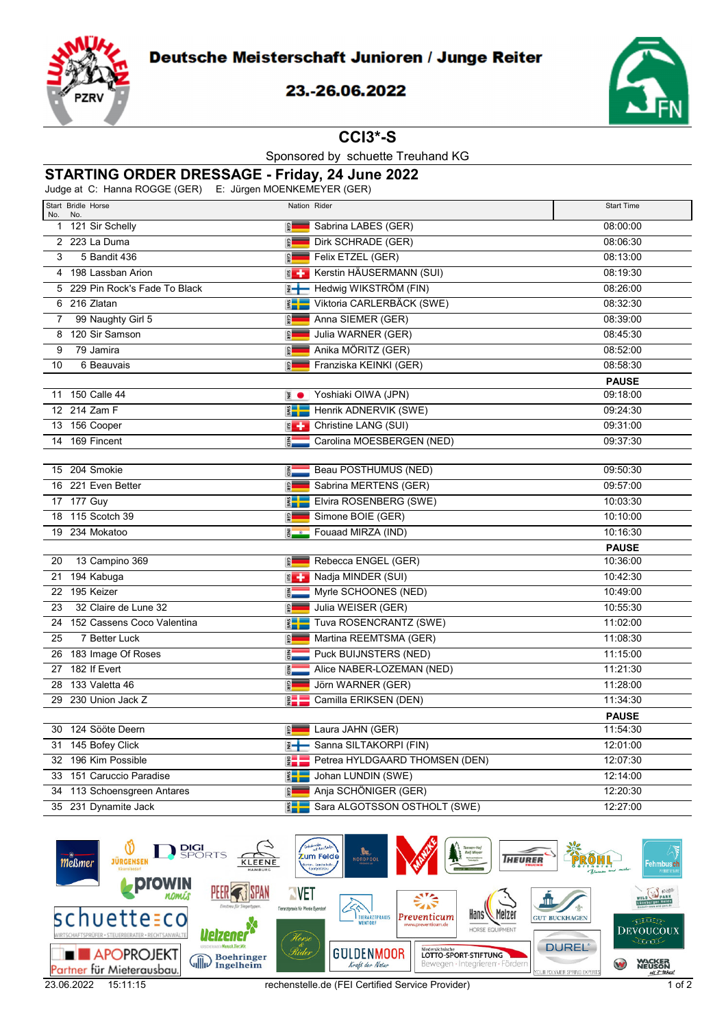

## 23.-26.06.2022



**CCI3\*-S**

Sponsored by schuette Treuhand KG

## **STARTING ORDER DRESSAGE - Friday, 24 June 2022**

Judge at C: Hanna ROGGE (GER) E: Jürgen MOENKEMEYER (GER)

|                | $\sigma$ at $\sigma$ . Training in $\sigma$ and $\sigma$ (or in $\sigma$ ) is the subset in $\sigma$ and $\sigma$ is the subset of $\sigma$ |                               |                                         |                   |  |  |  |  |
|----------------|---------------------------------------------------------------------------------------------------------------------------------------------|-------------------------------|-----------------------------------------|-------------------|--|--|--|--|
| No.            | Start Bridle Horse<br>No.                                                                                                                   |                               | Nation Rider                            | <b>Start Time</b> |  |  |  |  |
|                | 1 121 Sir Schelly                                                                                                                           | <b>GER</b>                    | Sabrina LABES (GER)                     | 08:00:00          |  |  |  |  |
|                | 2 223 La Duma                                                                                                                               | <b>GER</b>                    | Dirk SCHRADE (GER)                      | 08:06:30          |  |  |  |  |
| 3              | 5 Bandit 436                                                                                                                                | <b>GER</b>                    | Felix ETZEL (GER)                       | 08:13:00          |  |  |  |  |
|                | 4 198 Lassban Arion                                                                                                                         | $\epsilon$                    | Kerstin HÄUSERMANN (SUI)                | 08:19:30          |  |  |  |  |
|                | 5 229 Pin Rock's Fade To Black                                                                                                              | $\overline{z}$ $\leftarrow$   | Hedwig WIKSTRÖM (FIN)                   | 08:26:00          |  |  |  |  |
|                | 6 216 Zlatan                                                                                                                                |                               | <b>KEN</b> Viktoria CARLERBÄCK (SWE)    | 08:32:30          |  |  |  |  |
| $\overline{7}$ | 99 Naughty Girl 5                                                                                                                           | <b>GER</b>                    | Anna SIEMER (GER)                       | 08:39:00          |  |  |  |  |
|                | 8 120 Sir Samson                                                                                                                            | <b>GER</b>                    | Julia WARNER (GER)                      | 08:45:30          |  |  |  |  |
| 9              | 79 Jamira                                                                                                                                   | <b>GER</b>                    | Anika MÖRITZ (GER)                      | 08:52:00          |  |  |  |  |
| 10             | 6 Beauvais                                                                                                                                  | <b>GER</b>                    | Franziska KEINKI (GER)                  | 08:58:30          |  |  |  |  |
|                |                                                                                                                                             |                               |                                         | <b>PAUSE</b>      |  |  |  |  |
|                | 11 150 Calle 44                                                                                                                             | $\overline{z}$ $\bullet$      | Yoshiaki OIWA (JPN)                     | 09:18:00          |  |  |  |  |
|                | 12 214 Zam F                                                                                                                                | $\frac{2}{3}$ $\frac{1}{3}$   | Henrik ADNERVIK (SWE)                   | 09:24:30          |  |  |  |  |
|                | 13 156 Cooper                                                                                                                               | $\epsilon$                    | Christine LANG (SUI)                    | 09:31:00          |  |  |  |  |
|                | 14 169 Fincent                                                                                                                              | <b>NED</b>                    | Carolina MOESBERGEN (NED)               | 09:37:30          |  |  |  |  |
|                |                                                                                                                                             |                               |                                         |                   |  |  |  |  |
|                | 15 204 Smokie                                                                                                                               | $rac{1}{2}$                   | Beau POSTHUMUS (NED)                    | 09:50:30          |  |  |  |  |
|                | 16 221 Even Better                                                                                                                          | $\frac{2}{3}$                 | Sabrina MERTENS (GER)                   | 09:57:00          |  |  |  |  |
|                | 17 177 Guy                                                                                                                                  |                               | <b>Elvira ROSENBERG (SWE)</b>           | 10:03:30          |  |  |  |  |
|                | 18 115 Scotch 39                                                                                                                            | <b>GER</b>                    | Simone BOIE (GER)                       | 10:10:00          |  |  |  |  |
|                | 19 234 Mokatoo                                                                                                                              | $\overline{5}$ $\overline{0}$ | Fouaad MIRZA (IND)                      | 10:16:30          |  |  |  |  |
|                |                                                                                                                                             |                               |                                         | <b>PAUSE</b>      |  |  |  |  |
| 20             | 13 Campino 369                                                                                                                              | <b>GER</b>                    | Rebecca ENGEL (GER)                     | 10:36:00          |  |  |  |  |
|                | 21 194 Kabuga                                                                                                                               | $\epsilon$                    | Nadja MINDER (SUI)                      | 10:42:30          |  |  |  |  |
|                | 22 195 Keizer                                                                                                                               | FEB                           | Myrle SCHOONES (NED)                    | 10:49:00          |  |  |  |  |
| 23             | 32 Claire de Lune 32                                                                                                                        | <b>GER</b>                    | Julia WEISER (GER)                      | 10:55:30          |  |  |  |  |
|                | 24 152 Cassens Coco Valentina                                                                                                               | $\sum_{i=1}^{n}$              | Tuva ROSENCRANTZ (SWE)                  | 11:02:00          |  |  |  |  |
| 25             | 7 Better Luck                                                                                                                               | <b>GER</b>                    | Martina REEMTSMA (GER)                  | 11:08:30          |  |  |  |  |
|                | 26 183 Image Of Roses                                                                                                                       | $\frac{2}{9}$                 | Puck BUIJNSTERS (NED)                   | 11:15:00          |  |  |  |  |
|                | 27 182 If Evert                                                                                                                             | 高<br>一                        | Alice NABER-LOZEMAN (NED)               | 11:21:30          |  |  |  |  |
|                | 28 133 Valetta 46                                                                                                                           | <b>GER</b>                    | Jörn WARNER (GER)                       | 11:28:00          |  |  |  |  |
|                | 29 230 Union Jack Z                                                                                                                         | $\frac{9}{2}$                 | Camilla ERIKSEN (DEN)                   | 11:34:30          |  |  |  |  |
|                |                                                                                                                                             |                               |                                         | <b>PAUSE</b>      |  |  |  |  |
|                | 30 124 Sööte Deern                                                                                                                          | <b>GER</b>                    | Laura JAHN (GER)                        | 11:54:30          |  |  |  |  |
|                | 31 145 Bofey Click                                                                                                                          |                               | <b>E-</b> Sanna SILTAKORPI (FIN)        | 12:01:00          |  |  |  |  |
|                | 32 196 Kim Possible                                                                                                                         |                               | <b>E Petrea HYLDGAARD THOMSEN (DEN)</b> | 12:07:30          |  |  |  |  |
|                | 33 151 Caruccio Paradise                                                                                                                    |                               | <b>ED</b> Johan LUNDIN (SWE)            | 12:14:00          |  |  |  |  |
|                | 34 113 Schoensgreen Antares                                                                                                                 | $\frac{2}{3}$                 | Anja SCHÖNIGER (GER)                    | 12:20:30          |  |  |  |  |
|                | 35 231 Dynamite Jack                                                                                                                        |                               | Sara ALGOTSSON OSTHOLT (SWE)            | 12:27:00          |  |  |  |  |